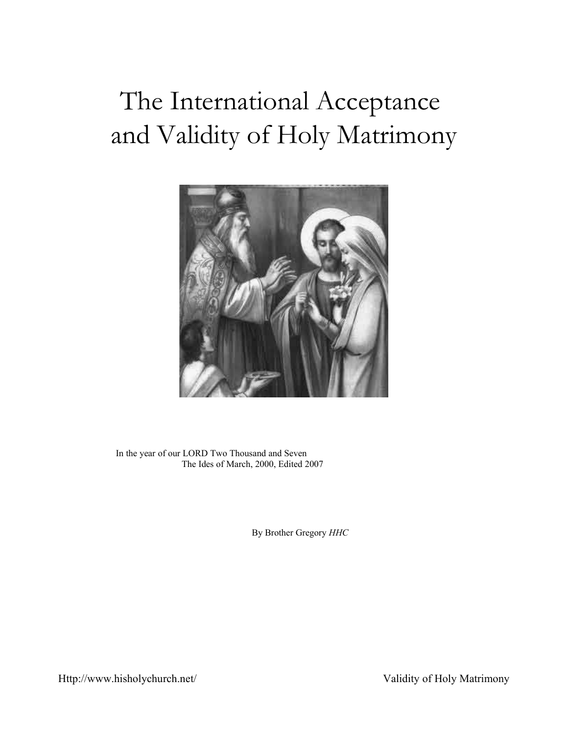# The International Acceptance and Validity of Holy Matrimony



In the year of our LORD Two Thousand and Seven The Ides of March, 2000, Edited 2007

By Brother Gregory *HHC*

Http://www.hisholychurch.net/ Validity of Holy Matrimony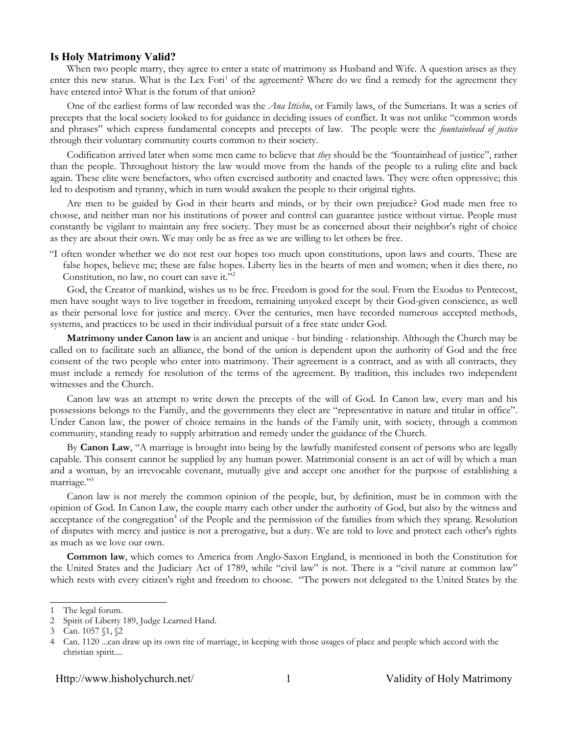#### **Is Holy Matrimony Valid?**

When two people marry, they agree to enter a state of matrimony as Husband and Wife. A question arises as they enter this new status. What is the Lex Fori<sup>[1](#page-1-0)</sup> of the agreement? Where do we find a remedy for the agreement they have entered into? What is the forum of that union?

One of the earliest forms of law recorded was the *Ana Ittishu*, or Family laws, of the Sumerians. It was a series of precepts that the local society looked to for guidance in deciding issues of conflict. It was not unlike "common words and phrases" which express fundamental concepts and precepts of law. The people were the *fountainhead of justice* through their voluntary community courts common to their society.

Codification arrived later when some men came to believe that *they* should be the *"*fountainhead of justice", rather than the people. Throughout history the law would move from the hands of the people to a ruling elite and back again. These elite were benefactors, who often exercised authority and enacted laws. They were often oppressive; this led to despotism and tyranny, which in turn would awaken the people to their original rights.

Are men to be guided by God in their hearts and minds, or by their own prejudice? God made men free to choose, and neither man nor his institutions of power and control can guarantee justice without virtue. People must constantly be vigilant to maintain any free society. They must be as concerned about their neighbor's right of choice as they are about their own. We may only be as free as we are willing to let others be free.

"I often wonder whether we do not rest our hopes too much upon constitutions, upon laws and courts. These are false hopes, believe me; these are false hopes. Liberty lies in the hearts of men and women; when it dies there, no Constitution, no law, no court can save it."[2](#page-1-1)

God, the Creator of mankind, wishes us to be free. Freedom is good for the soul. From the Exodus to Pentecost, men have sought ways to live together in freedom, remaining unyoked except by their God-given conscience, as well as their personal love for justice and mercy. Over the centuries, men have recorded numerous accepted methods, systems, and practices to be used in their individual pursuit of a free state under God.

**Matrimony under Canon law** is an ancient and unique - but binding - relationship. Although the Church may be called on to facilitate such an alliance, the bond of the union is dependent upon the authority of God and the free consent of the two people who enter into matrimony. Their agreement is a contract, and as with all contracts, they must include a remedy for resolution of the terms of the agreement. By tradition, this includes two independent witnesses and the Church.

Canon law was an attempt to write down the precepts of the will of God. In Canon law, every man and his possessions belongs to the Family, and the governments they elect are "representative in nature and titular in office". Under Canon law, the power of choice remains in the hands of the Family unit, with society, through a common community, standing ready to supply arbitration and remedy under the guidance of the Church.

By **Canon Law**, "A marriage is brought into being by the lawfully manifested consent of persons who are legally capable. This consent cannot be supplied by any human power. Matrimonial consent is an act of will by which a man and a woman, by an irrevocable covenant, mutually give and accept one another for the purpose of establishing a marriage."<sup>[3](#page-1-2)</sup>

Canon law is not merely the common opinion of the people, but, by definition, must be in common with the opinion of God. In Canon Law, the couple marry each other under the authority of God, but also by the witness and acceptance of the congregation<sup>[4](#page-1-3)</sup> of the People and the permission of the families from which they sprang. Resolution of disputes with mercy and justice is not a prerogative, but a duty. We are told to love and protect each other's rights as much as we love our own.

**Common law**, which comes to America from Anglo-Saxon England, is mentioned in both the Constitution for the United States and the Judiciary Act of 1789, while "civil law" is not. There is a "civil nature at common law" which rests with every citizen's right and freedom to choose. "The powers not delegated to the United States by the

<span id="page-1-0"></span><sup>1</sup> The legal forum.

<span id="page-1-1"></span><sup>2</sup> Spirit of Liberty 189, Judge Learned Hand.

<span id="page-1-2"></span>Can. 1057 §1, §2

<span id="page-1-3"></span><sup>4</sup> Can. 1120 ...can draw up its own rite of marriage, in keeping with those usages of place and people which accord with the christian spirit....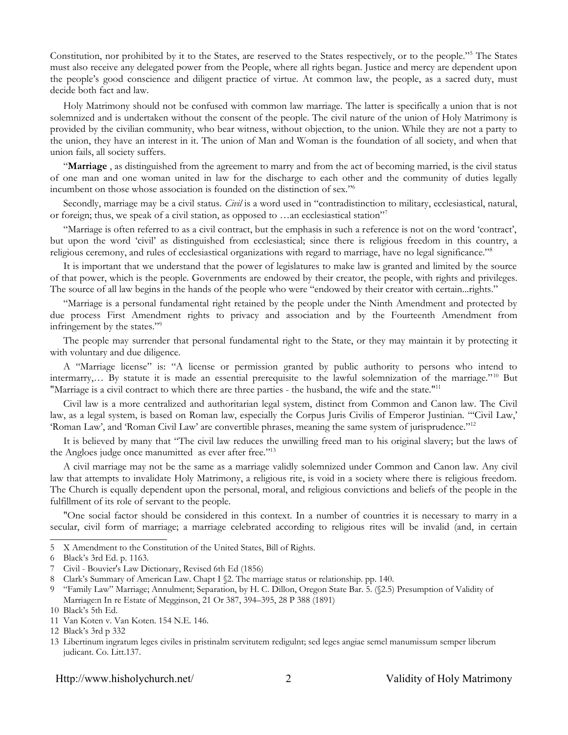Constitution, nor prohibited by it to the States, are reserved to the States respectively, or to the people."[5](#page-2-0) The States must also receive any delegated power from the People, where all rights began. Justice and mercy are dependent upon the people's good conscience and diligent practice of virtue. At common law, the people, as a sacred duty, must decide both fact and law.

Holy Matrimony should not be confused with common law marriage. The latter is specifically a union that is not solemnized and is undertaken without the consent of the people. The civil nature of the union of Holy Matrimony is provided by the civilian community, who bear witness, without objection, to the union. While they are not a party to the union, they have an interest in it. The union of Man and Woman is the foundation of all society, and when that union fails, all society suffers.

"**Marriage** , as distinguished from the agreement to marry and from the act of becoming married, is the civil status of one man and one woman united in law for the discharge to each other and the community of duties legally incumbent on those whose association is founded on the distinction of sex."[6](#page-2-1)

Secondly, marriage may be a civil status. *Civil* is a word used in "contradistinction to military, ecclesiastical, natural, or foreign; thus, we speak of a civil station, as opposed to  $\ldots$  an ecclesiastical station"

"Marriage is often referred to as a civil contract, but the emphasis in such a reference is not on the word 'contract', but upon the word 'civil' as distinguished from ecclesiastical; since there is religious freedom in this country, a religious ceremony, and rules of ecclesiastical organizations with regard to marriage, have no legal significance."[8](#page-2-3)

It is important that we understand that the power of legislatures to make law is granted and limited by the source of that power, which is the people. Governments are endowed by their creator, the people, with rights and privileges. The source of all law begins in the hands of the people who were "endowed by their creator with certain...rights."

"Marriage is a personal fundamental right retained by the people under the Ninth Amendment and protected by due process First Amendment rights to privacy and association and by the Fourteenth Amendment from infringement by the states."[9](#page-2-4)

The people may surrender that personal fundamental right to the State, or they may maintain it by protecting it with voluntary and due diligence.

A "Marriage license" is: "A license or permission granted by public authority to persons who intend to intermarry,… By statute it is made an essential prerequisite to the lawful solemnization of the marriage."[10](#page-2-5) But "Marriage is a civil contract to which there are three parties - the husband, the wife and the state."[11](#page-2-6)

Civil law is a more centralized and authoritarian legal system, distinct from Common and Canon law. The Civil law, as a legal system, is based on Roman law, especially the Corpus Juris Civilis of Emperor Justinian. "'Civil Law,' 'Roman Law', and 'Roman Civil Law' are convertible phrases, meaning the same system of jurisprudence."[12](#page-2-7)

It is believed by many that "The civil law reduces the unwilling freed man to his original slavery; but the laws of the Angloes judge once manumitted as ever after free."<sup>[13](#page-2-8)</sup>

A civil marriage may not be the same as a marriage validly solemnized under Common and Canon law. Any civil law that attempts to invalidate Holy Matrimony, a religious rite, is void in a society where there is religious freedom. The Church is equally dependent upon the personal, moral, and religious convictions and beliefs of the people in the fulfillment of its role of servant to the people.

"One social factor should be considered in this context. In a number of countries it is necessary to marry in a secular, civil form of marriage; a marriage celebrated according to religious rites will be invalid (and, in certain

<span id="page-2-0"></span><sup>5</sup> X Amendment to the Constitution of the United States, Bill of Rights.

<span id="page-2-1"></span><sup>6</sup> Black's 3rd Ed. p. 1163.

<span id="page-2-2"></span><sup>7</sup> Civil - Bouvier's Law Dictionary, Revised 6th Ed (1856)

<span id="page-2-3"></span><sup>8</sup> Clark's Summary of American Law. Chapt I  $\S2$ . The marriage status or relationship. pp. 140.

<span id="page-2-4"></span><sup>9</sup> "Family Law" Marriage; Annulment; Separation, by H. C. Dillon, Oregon State Bar. 5. (§2.5) Presumption of Validity of Marriage:n In re Estate of Megginson, 21 Or 387, 394–395, 28 P 388 (1891)

<span id="page-2-5"></span><sup>10</sup> Black's 5th Ed.

<span id="page-2-6"></span><sup>11</sup> Van Koten v. Van Koten. 154 N.E. 146.

<span id="page-2-7"></span><sup>12</sup> Black's 3rd p 332

<span id="page-2-8"></span><sup>13</sup> Libertinum ingratum leges civiles in pristinalm servitutem redigulnt; sed leges angiae semel manumissum semper liberum judicant. Co. Litt.137.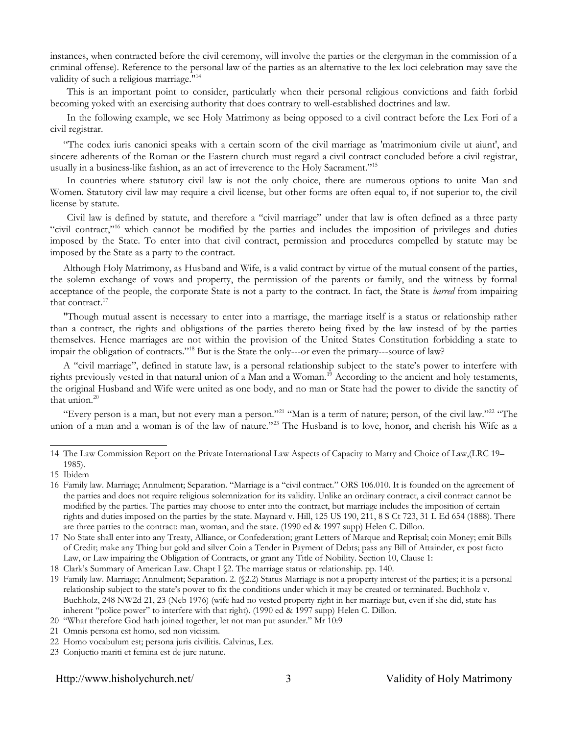instances, when contracted before the civil ceremony, will involve the parties or the clergyman in the commission of a criminal offense). Reference to the personal law of the parties as an alternative to the lex loci celebration may save the validity of such a religious marriage."<sup>[14](#page-3-0)</sup>

This is an important point to consider, particularly when their personal religious convictions and faith forbid becoming yoked with an exercising authority that does contrary to well-established doctrines and law.

In the following example, we see Holy Matrimony as being opposed to a civil contract before the Lex Fori of a civil registrar.

"The codex iuris canonici speaks with a certain scorn of the civil marriage as 'matrimonium civile ut aiunt', and sincere adherents of the Roman or the Eastern church must regard a civil contract concluded before a civil registrar, usually in a business-like fashion, as an act of irreverence to the Holy Sacrament."[15](#page-3-1)

In countries where statutory civil law is not the only choice, there are numerous options to unite Man and Women. Statutory civil law may require a civil license, but other forms are often equal to, if not superior to, the civil license by statute.

Civil law is defined by statute, and therefore a "civil marriage" under that law is often defined as a three party "civil contract,"<sup>[16](#page-3-2)</sup> which cannot be modified by the parties and includes the imposition of privileges and duties imposed by the State. To enter into that civil contract, permission and procedures compelled by statute may be imposed by the State as a party to the contract.

Although Holy Matrimony, as Husband and Wife, is a valid contract by virtue of the mutual consent of the parties, the solemn exchange of vows and property, the permission of the parents or family, and the witness by formal acceptance of the people, the corporate State is not a party to the contract. In fact, the State is *barred* from impairing that contract.<sup>[17](#page-3-3)</sup>

"Though mutual assent is necessary to enter into a marriage, the marriage itself is a status or relationship rather than a contract, the rights and obligations of the parties thereto being fixed by the law instead of by the parties themselves. Hence marriages are not within the provision of the United States Constitution forbidding a state to impair the obligation of contracts."<sup>[18](#page-3-4)</sup> But is the State the only---or even the primary---source of law?

A "civil marriage", defined in statute law, is a personal relationship subject to the state's power to interfere with rights previously vested in that natural union of a Man and a Woman.[19](#page-3-5) According to the ancient and holy testaments, the original Husband and Wife were united as one body, and no man or State had the power to divide the sanctity of that union. $20$ 

"Every person is a man, but not every man a person."<sup>[21](#page-3-7)</sup> "Man is a term of nature; person, of the civil law."<sup>[22](#page-3-8)</sup> "The union of a man and a woman is of the law of nature."<sup>[23](#page-3-9)</sup> The Husband is to love, honor, and cherish his Wife as a

<span id="page-3-0"></span><sup>14</sup> The Law Commission Report on the Private International Law Aspects of Capacity to Marry and Choice of Law,(LRC 19– 1985).

<span id="page-3-1"></span><sup>15</sup> Ibidem

<span id="page-3-2"></span><sup>16</sup> Family law. Marriage; Annulment; Separation. "Marriage is a "civil contract." ORS 106.010. It is founded on the agreement of the parties and does not require religious solemnization for its validity. Unlike an ordinary contract, a civil contract cannot be modified by the parties. The parties may choose to enter into the contract, but marriage includes the imposition of certain rights and duties imposed on the parties by the state. Maynard v. Hill, 125 US 190, 211, 8 S Ct 723, 31 L Ed 654 (1888). There are three parties to the contract: man, woman, and the state. (1990 ed & 1997 supp) Helen C. Dillon.

<span id="page-3-3"></span><sup>17</sup> No State shall enter into any Treaty, Alliance, or Confederation; grant Letters of Marque and Reprisal; coin Money; emit Bills of Credit; make any Thing but gold and silver Coin a Tender in Payment of Debts; pass any Bill of Attainder, ex post facto Law, or Law impairing the Obligation of Contracts, or grant any Title of Nobility. Section 10, Clause 1:

<span id="page-3-4"></span><sup>18</sup> Clark's Summary of American Law. Chapt I §2. The marriage status or relationship. pp. 140.

<span id="page-3-5"></span><sup>19</sup> Family law. Marriage; Annulment; Separation. 2. (§2.2) Status Marriage is not a property interest of the parties; it is a personal relationship subject to the state's power to fix the conditions under which it may be created or terminated. Buchholz v. Buchholz, 248 NW2d 21, 23 (Neb 1976) (wife had no vested property right in her marriage but, even if she did, state has inherent "police power" to interfere with that right). (1990 ed & 1997 supp) Helen C. Dillon.

<span id="page-3-6"></span><sup>20</sup> "What therefore God hath joined together, let not man put asunder." Mr 10:9

<span id="page-3-7"></span><sup>21</sup> Omnis persona est homo, sed non vicissim.

<span id="page-3-8"></span><sup>22</sup> Homo vocabulum est; persona juris civilitis. Calvinus, Lex.

<span id="page-3-9"></span><sup>23</sup> Conjuctio mariti et femina est de jure naturæ.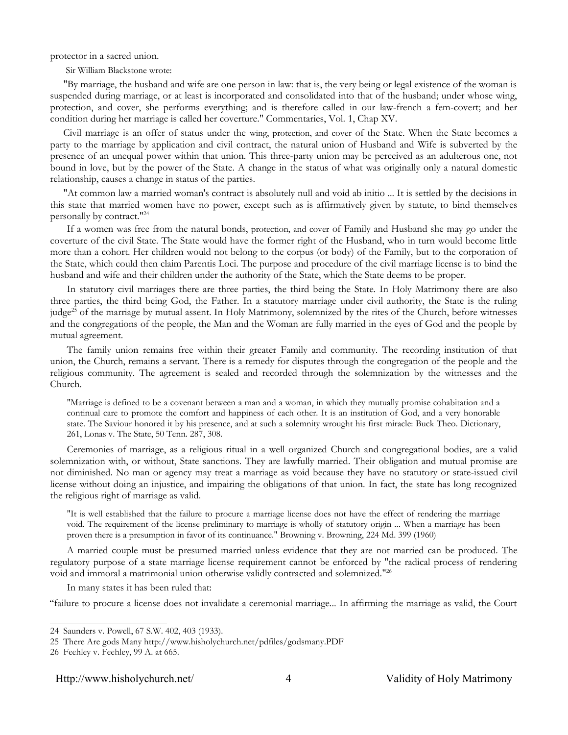protector in a sacred union.

Sir William Blackstone wrote:

"By marriage, the husband and wife are one person in law: that is, the very being or legal existence of the woman is suspended during marriage, or at least is incorporated and consolidated into that of the husband; under whose wing, protection, and cover, she performs everything; and is therefore called in our law-french a fem-covert; and her condition during her marriage is called her coverture." Commentaries, Vol. 1, Chap XV.

Civil marriage is an offer of status under the wing, protection, and cover of the State. When the State becomes a party to the marriage by application and civil contract, the natural union of Husband and Wife is subverted by the presence of an unequal power within that union. This three-party union may be perceived as an adulterous one, not bound in love, but by the power of the State. A change in the status of what was originally only a natural domestic relationship, causes a change in status of the parties.

"At common law a married woman's contract is absolutely null and void ab initio ... It is settled by the decisions in this state that married women have no power, except such as is affirmatively given by statute, to bind themselves personally by contract." [24](#page-4-0)

If a women was free from the natural bonds, protection, and cover of Family and Husband she may go under the coverture of the civil State. The State would have the former right of the Husband, who in turn would become little more than a cohort. Her children would not belong to the corpus (or body) of the Family, but to the corporation of the State, which could then claim Parentis Loci. The purpose and procedure of the civil marriage license is to bind the husband and wife and their children under the authority of the State, which the State deems to be proper.

In statutory civil marriages there are three parties, the third being the State. In Holy Matrimony there are also three parties, the third being God, the Father. In a statutory marriage under civil authority, the State is the ruling judge<sup>[25](#page-4-1)</sup> of the marriage by mutual assent. In Holy Matrimony, solemnized by the rites of the Church, before witnesses and the congregations of the people, the Man and the Woman are fully married in the eyes of God and the people by mutual agreement.

The family union remains free within their greater Family and community. The recording institution of that union, the Church, remains a servant. There is a remedy for disputes through the congregation of the people and the religious community. The agreement is sealed and recorded through the solemnization by the witnesses and the Church.

"Marriage is defined to be a covenant between a man and a woman, in which they mutually promise cohabitation and a continual care to promote the comfort and happiness of each other. It is an institution of God, and a very honorable state. The Saviour honored it by his presence, and at such a solemnity wrought his first miracle: Buck Theo. Dictionary, 261, Lonas v. The State, 50 Tenn. 287, 308.

Ceremonies of marriage, as a religious ritual in a well organized Church and congregational bodies, are a valid solemnization with, or without, State sanctions. They are lawfully married. Their obligation and mutual promise are not diminished. No man or agency may treat a marriage as void because they have no statutory or state-issued civil license without doing an injustice, and impairing the obligations of that union. In fact, the state has long recognized the religious right of marriage as valid.

"It is well established that the failure to procure a marriage license does not have the effect of rendering the marriage void. The requirement of the license preliminary to marriage is wholly of statutory origin ... When a marriage has been proven there is a presumption in favor of its continuance." Browning v. Browning, 224 Md. 399 (1960)

A married couple must be presumed married unless evidence that they are not married can be produced. The regulatory purpose of a state marriage license requirement cannot be enforced by "the radical process of rendering void and immoral a matrimonial union otherwise validly contracted and solemnized."[26](#page-4-2)

In many states it has been ruled that:

"failure to procure a license does not invalidate a ceremonial marriage... In affirming the marriage as valid, the Court

<span id="page-4-0"></span><sup>24</sup> Saunders v. Powell, 67 S.W. 402, 403 (1933).

<span id="page-4-1"></span><sup>25</sup> There Are gods Many http://www.hisholychurch.net/pdfiles/godsmany.PDF

<span id="page-4-2"></span><sup>26</sup> Feehley v. Feehley, 99 A. at 665.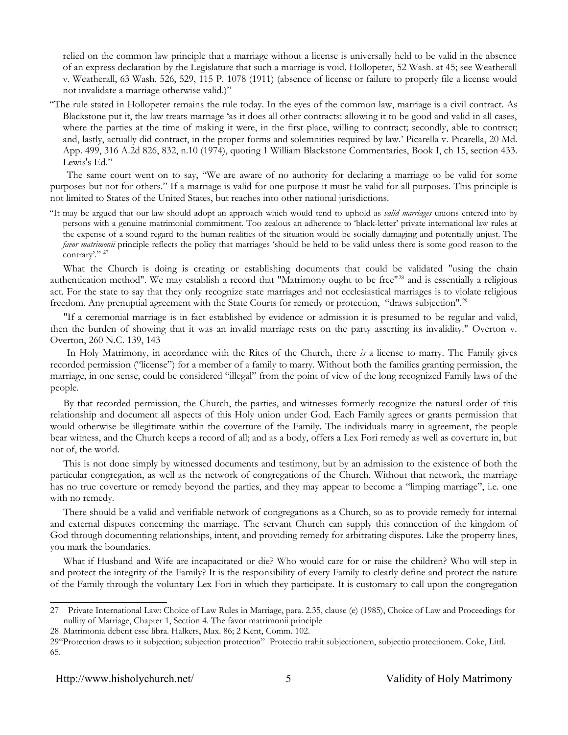relied on the common law principle that a marriage without a license is universally held to be valid in the absence of an express declaration by the Legislature that such a marriage is void. Hollopeter, 52 Wash. at 45; see Weatherall v. Weatherall, 63 Wash. 526, 529, 115 P. 1078 (1911) (absence of license or failure to properly file a license would not invalidate a marriage otherwise valid.)"

"The rule stated in Hollopeter remains the rule today. In the eyes of the common law, marriage is a civil contract. As Blackstone put it, the law treats marriage 'as it does all other contracts: allowing it to be good and valid in all cases, where the parties at the time of making it were, in the first place, willing to contract; secondly, able to contract; and, lastly, actually did contract, in the proper forms and solemnities required by law.' Picarella v. Picarella, 20 Md. App. 499, 316 A.2d 826, 832, n.10 (1974), quoting 1 William Blackstone Commentaries, Book I, ch 15, section 433. Lewis's Ed."

The same court went on to say, "We are aware of no authority for declaring a marriage to be valid for some purposes but not for others." If a marriage is valid for one purpose it must be valid for all purposes. This principle is not limited to States of the United States, but reaches into other national jurisdictions.

"It may be argued that our law should adopt an approach which would tend to uphold as *valid marriages* unions entered into by persons with a genuine matrimonial commitment. Too zealous an adherence to 'black-letter' private international law rules at the expense of a sound regard to the human realities of the situation would be socially damaging and potentially unjust. The *favor matrimonii* principle reflects the policy that marriages 'should be held to be valid unless there is some good reason to the contrary'." <sup>[27](#page-5-0)</sup>

What the Church is doing is creating or establishing documents that could be validated "using the chain authentication method". We may establish a record that "Matrimony ought to be free"<sup>[28](#page-5-1)</sup> and is essentially a religious act. For the state to say that they only recognize state marriages and not ecclesiastical marriages is to violate religious freedom. Any prenuptial agreement with the State Courts for remedy or protection, "draws subjection".[29](#page-5-2)

"If a ceremonial marriage is in fact established by evidence or admission it is presumed to be regular and valid, then the burden of showing that it was an invalid marriage rests on the party asserting its invalidity." Overton v. Overton, 260 N.C. 139, 143

In Holy Matrimony, in accordance with the Rites of the Church, there *is* a license to marry. The Family gives recorded permission ("license") for a member of a family to marry. Without both the families granting permission, the marriage, in one sense, could be considered "illegal" from the point of view of the long recognized Family laws of the people.

By that recorded permission, the Church, the parties, and witnesses formerly recognize the natural order of this relationship and document all aspects of this Holy union under God. Each Family agrees or grants permission that would otherwise be illegitimate within the coverture of the Family. The individuals marry in agreement, the people bear witness, and the Church keeps a record of all; and as a body, offers a Lex Fori remedy as well as coverture in, but not of, the world.

This is not done simply by witnessed documents and testimony, but by an admission to the existence of both the particular congregation, as well as the network of congregations of the Church. Without that network, the marriage has no true coverture or remedy beyond the parties, and they may appear to become a "limping marriage", i.e. one with no remedy.

There should be a valid and verifiable network of congregations as a Church, so as to provide remedy for internal and external disputes concerning the marriage. The servant Church can supply this connection of the kingdom of God through documenting relationships, intent, and providing remedy for arbitrating disputes. Like the property lines, you mark the boundaries.

What if Husband and Wife are incapacitated or die? Who would care for or raise the children? Who will step in and protect the integrity of the Family? It is the responsibility of every Family to clearly define and protect the nature of the Family through the voluntary Lex Fori in which they participate. It is customary to call upon the congregation

<span id="page-5-0"></span><sup>27</sup> Private International Law: Choice of Law Rules in Marriage, para. 2.35, clause (e) (1985), Choice of Law and Proceedings for nullity of Marriage, Chapter 1, Section 4. The favor matrimonii principle

<span id="page-5-1"></span><sup>28</sup> Matrimonia debent esse libra. Halkers, Max. 86; 2 Kent, Comm. 102.

<span id="page-5-2"></span><sup>29&</sup>quot;Protection draws to it subjection; subjection protection" Protectio trahit subjectionem, subjectio protectionem. Coke, Littl. 65.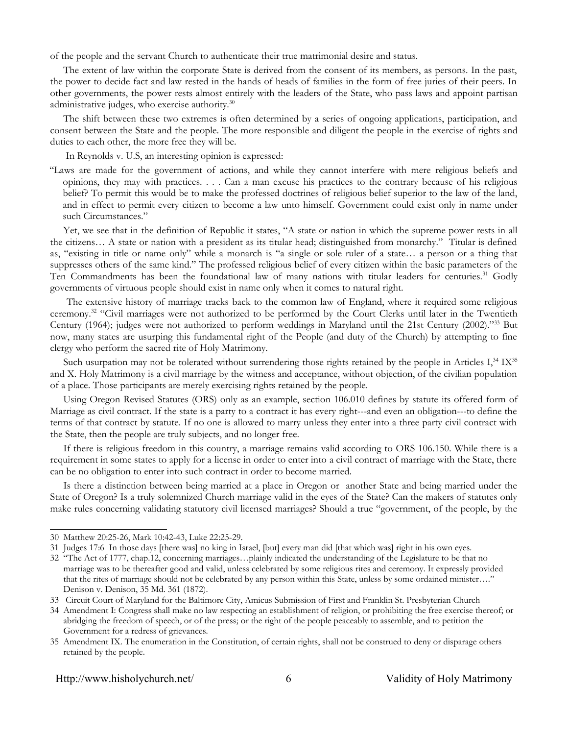of the people and the servant Church to authenticate their true matrimonial desire and status.

The extent of law within the corporate State is derived from the consent of its members, as persons. In the past, the power to decide fact and law rested in the hands of heads of families in the form of free juries of their peers. In other governments, the power rests almost entirely with the leaders of the State, who pass laws and appoint partisan administrative judges, who exercise authority.<sup>[30](#page-6-0)</sup>

The shift between these two extremes is often determined by a series of ongoing applications, participation, and consent between the State and the people. The more responsible and diligent the people in the exercise of rights and duties to each other, the more free they will be.

In Reynolds v. U.S, an interesting opinion is expressed:

"Laws are made for the government of actions, and while they cannot interfere with mere religious beliefs and opinions, they may with practices. . . . Can a man excuse his practices to the contrary because of his religious belief? To permit this would be to make the professed doctrines of religious belief superior to the law of the land, and in effect to permit every citizen to become a law unto himself. Government could exist only in name under such Circumstances."

Yet, we see that in the definition of Republic it states, "A state or nation in which the supreme power rests in all the citizens… A state or nation with a president as its titular head; distinguished from monarchy." Titular is defined as, "existing in title or name only" while a monarch is "a single or sole ruler of a state… a person or a thing that suppresses others of the same kind." The professed religious belief of every citizen within the basic parameters of the Ten Commandments has been the foundational law of many nations with titular leaders for centuries.<sup>[31](#page-6-1)</sup> Godly governments of virtuous people should exist in name only when it comes to natural right.

The extensive history of marriage tracks back to the common law of England, where it required some religious ceremony.<sup>[32](#page-6-2)</sup> "Civil marriages were not authorized to be performed by the Court Clerks until later in the Twentieth Century (1964); judges were not authorized to perform weddings in Maryland until the 21st Century (2002)."[33](#page-6-3) But now, many states are usurping this fundamental right of the People (and duty of the Church) by attempting to fine clergy who perform the sacred rite of Holy Matrimony.

Such usurpation may not be tolerated without surrendering those rights retained by the people in Articles  $I<sub>1</sub><sup>34</sup> IX<sub>35</sub>$  $I<sub>1</sub><sup>34</sup> IX<sub>35</sub>$  $I<sub>1</sub><sup>34</sup> IX<sub>35</sub>$  $I<sub>1</sub><sup>34</sup> IX<sub>35</sub>$  $I<sub>1</sub><sup>34</sup> IX<sub>35</sub>$ and X. Holy Matrimony is a civil marriage by the witness and acceptance, without objection, of the civilian population of a place. Those participants are merely exercising rights retained by the people.

Using Oregon Revised Statutes (ORS) only as an example, section 106.010 defines by statute its offered form of Marriage as civil contract. If the state is a party to a contract it has every right---and even an obligation---to define the terms of that contract by statute. If no one is allowed to marry unless they enter into a three party civil contract with the State, then the people are truly subjects, and no longer free.

If there is religious freedom in this country, a marriage remains valid according to ORS 106.150. While there is a requirement in some states to apply for a license in order to enter into a civil contract of marriage with the State, there can be no obligation to enter into such contract in order to become married.

Is there a distinction between being married at a place in Oregon or another State and being married under the State of Oregon? Is a truly solemnized Church marriage valid in the eyes of the State? Can the makers of statutes only make rules concerning validating statutory civil licensed marriages? Should a true "government, of the people, by the

<span id="page-6-0"></span><sup>30</sup> Matthew 20:25-26, Mark 10:42-43, Luke 22:25-29.

<span id="page-6-1"></span><sup>31</sup> Judges 17:6 In those days [there was] no king in Israel, [but] every man did [that which was] right in his own eyes.

<span id="page-6-2"></span><sup>32</sup> "The Act of 1777, chap.12, concerning marriages…plainly indicated the understanding of the Legislature to be that no marriage was to be thereafter good and valid, unless celebrated by some religious rites and ceremony. It expressly provided that the rites of marriage should not be celebrated by any person within this State, unless by some ordained minister…." Denison v. Denison, 35 Md. 361 (1872).

<span id="page-6-3"></span><sup>33</sup> Circuit Court of Maryland for the Baltimore City, Amicus Submission of First and Franklin St. Presbyterian Church

<span id="page-6-4"></span><sup>34</sup> Amendment I: Congress shall make no law respecting an establishment of religion, or prohibiting the free exercise thereof; or abridging the freedom of speech, or of the press; or the right of the people peaceably to assemble, and to petition the Government for a redress of grievances.

<span id="page-6-5"></span><sup>35</sup> Amendment IX. The enumeration in the Constitution, of certain rights, shall not be construed to deny or disparage others retained by the people.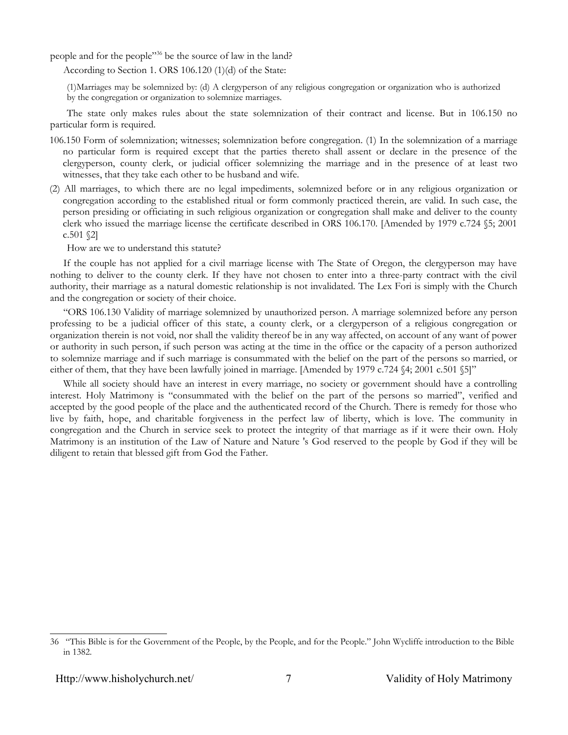people and for the people"[36](#page-7-0) be the source of law in the land?

According to Section 1. ORS 106.120 (1)(d) of the State:

(1)Marriages may be solemnized by: (d) A clergyperson of any religious congregation or organization who is authorized by the congregation or organization to solemnize marriages.

The state only makes rules about the state solemnization of their contract and license. But in 106.150 no particular form is required.

- 106.150 Form of solemnization; witnesses; solemnization before congregation. (1) In the solemnization of a marriage no particular form is required except that the parties thereto shall assent or declare in the presence of the clergyperson, county clerk, or judicial officer solemnizing the marriage and in the presence of at least two witnesses, that they take each other to be husband and wife.
- (2) All marriages, to which there are no legal impediments, solemnized before or in any religious organization or congregation according to the established ritual or form commonly practiced therein, are valid. In such case, the person presiding or officiating in such religious organization or congregation shall make and deliver to the county clerk who issued the marriage license the certificate described in ORS 106.170. [Amended by 1979 c.724 §5; 2001  $c.501$   $\S2$ ]

How are we to understand this statute?

If the couple has not applied for a civil marriage license with The State of Oregon, the clergyperson may have nothing to deliver to the county clerk. If they have not chosen to enter into a three-party contract with the civil authority, their marriage as a natural domestic relationship is not invalidated. The Lex Fori is simply with the Church and the congregation or society of their choice.

"ORS 106.130 Validity of marriage solemnized by unauthorized person. A marriage solemnized before any person professing to be a judicial officer of this state, a county clerk, or a clergyperson of a religious congregation or organization therein is not void, nor shall the validity thereof be in any way affected, on account of any want of power or authority in such person, if such person was acting at the time in the office or the capacity of a person authorized to solemnize marriage and if such marriage is consummated with the belief on the part of the persons so married, or either of them, that they have been lawfully joined in marriage. [Amended by 1979 c.724 §4; 2001 c.501 §5]"

While all society should have an interest in every marriage, no society or government should have a controlling interest. Holy Matrimony is "consummated with the belief on the part of the persons so married", verified and accepted by the good people of the place and the authenticated record of the Church. There is remedy for those who live by faith, hope, and charitable forgiveness in the perfect law of liberty, which is love. The community in congregation and the Church in service seek to protect the integrity of that marriage as if it were their own. Holy Matrimony is an institution of the Law of Nature and Nature 's God reserved to the people by God if they will be diligent to retain that blessed gift from God the Father.

<span id="page-7-0"></span><sup>36 &</sup>quot;This Bible is for the Government of the People, by the People, and for the People." John Wycliffe introduction to the Bible in 1382.